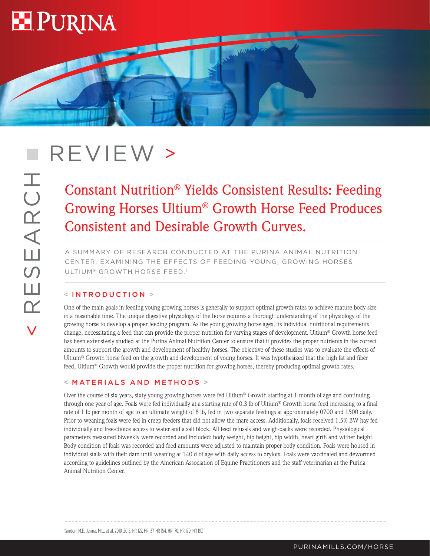

# REVIEW >

## Constant Nutrition® Yields Consistent Results: Feeding Growing Horses Ultium® Growth Horse Feed Produces Consistent and Desirable Growth Curves.

**CONTROL** 

A SUMMARY OF RESEARCH CONDUCTED AT THE PURINA ANIMAL NUTRITION CENTER, EXAMINING THE EFFECTS OF FEEDING YOUNG, GROWING HORSES ULTIUM® GROWTH HORSE FEED.1

### < INTRODUCTION >

One of the main goals in feeding young growing horses is generally to support optimal growth rates to achieve mature body size in a reasonable time. The unique digestive physiology of the horse requires a thorough understanding of the physiology of the growing horse to develop a proper feeding program. As the young growing horse ages, its individual nutritional requirements change, necessitating a feed that can provide the proper nutrition for varying stages of development. Ultium® Growth horse feed has been extensively studied at the Purina Animal Nutrition Center to ensure that it provides the proper nutrients in the correct amounts to support the growth and development of healthy horses. The objective of these studies was to evaluate the effects of Ultium® Growth horse feed on the growth and development of young horses. It was hypothesized that the high fat and fiber feed, Ultium® Growth would provide the proper nutrition for growing horses, thereby producing optimal growth rates.

#### < MATERIALS AND METHODS >

Over the course of six years, sixty young growing horses were fed Ultium® Growth starting at 1 month of age and continuing through one year of age. Foals were fed individually at a starting rate of 0.3 lb of Ultium® Growth horse feed increasing to a final rate of 1 lb per month of age to an ultimate weight of 8 lb, fed in two separate feedings at approximately 0700 and 1500 daily. Prior to weaning foals were fed in creep feeders that did not allow the mare access. Additionally, foals received 1.5% BW hay fed individually and free-choice access to water and a salt block. All feed refusals and weigh-backs were recorded. Physiological parameters measured biweekly were recorded and included: body weight, hip height, hip width, heart girth and wither height. Body condition of foals was recorded and feed amounts were adjusted to maintain proper body condition. Foals were housed in individual stalls with their dam until weaning at 140 d of age with daily access to drylots. Foals were vaccinated and dewormed according to guidelines outlined by the American Association of Equine Practitioners and the staff veterinarian at the Purina Animal Nutrition Center.

1 Gordon, M.E., Jerina, M.L., et al. 2010-2015. HR 127, HR 137, HR 154, HR 170, HR 179, HR 197.